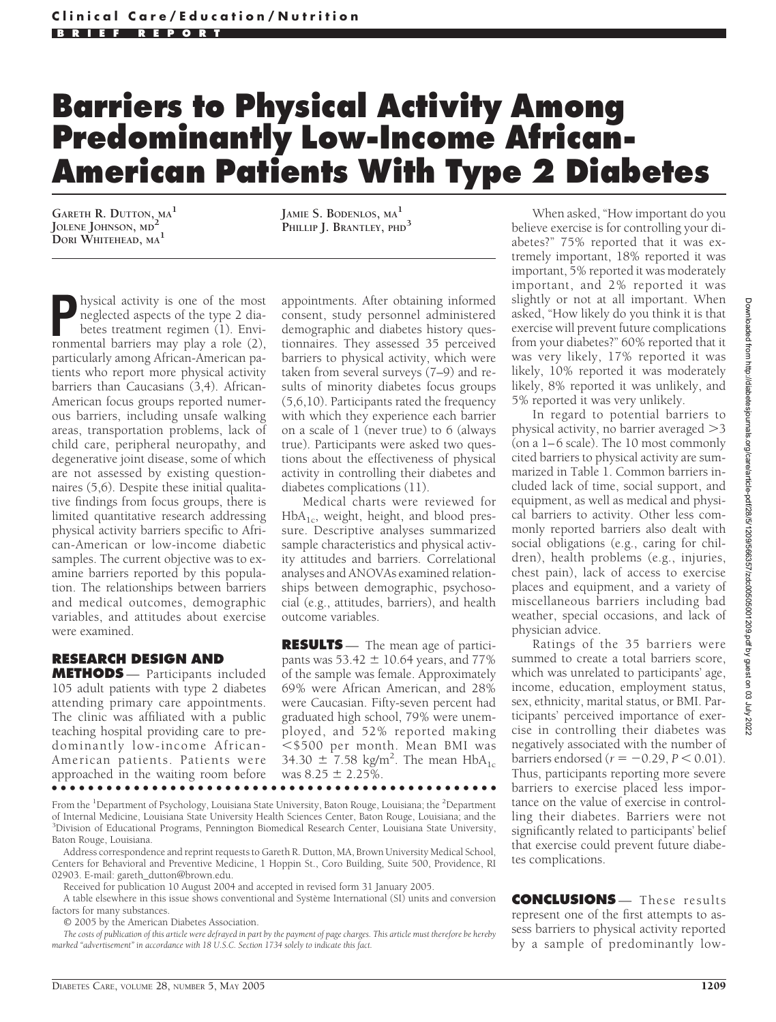## **Barriers to Physical Activity Among Predominantly Low-Income African-American Patients With Type 2 Diabetes**

**GARETH R. DUTTON, MA<sup>1</sup> JOLENE JOHNSON, MD<sup>2</sup> DORI WHITEHEAD, MA<sup>1</sup>**

**JAMIE S. BODENLOS, MA<sup>1</sup> PHILLIP J. BRANTLEY, PHD<sup>3</sup>**

hysical activity is one of the most neglected aspects of the type 2 diabetes treatment regimen (1). Environmental barriers may play a role (2), particularly among African-American patients who report more physical activity barriers than Caucasians (3,4). African-American focus groups reported numerous barriers, including unsafe walking areas, transportation problems, lack of child care, peripheral neuropathy, and degenerative joint disease, some of which are not assessed by existing questionnaires (5,6). Despite these initial qualitative findings from focus groups, there is limited quantitative research addressing physical activity barriers specific to African-American or low-income diabetic samples. The current objective was to examine barriers reported by this population. The relationships between barriers and medical outcomes, demographic variables, and attitudes about exercise were examined.

## **RESEARCH DESIGN AND**

**METHODS** — Participants included 105 adult patients with type 2 diabetes attending primary care appointments. The clinic was affiliated with a public teaching hospital providing care to predominantly low-income African-American patients. Patients were approached in the waiting room before ●●●●●●●●●●●●●●●●●●●●●●●●●●●●●●●●●●●●●●●●●●●●●●●●●

appointments. After obtaining informed consent, study personnel administered demographic and diabetes history questionnaires. They assessed 35 perceived barriers to physical activity, which were taken from several surveys (7–9) and results of minority diabetes focus groups (5,6,10). Participants rated the frequency with which they experience each barrier on a scale of 1 (never true) to 6 (always true). Participants were asked two questions about the effectiveness of physical activity in controlling their diabetes and diabetes complications (11).

Medical charts were reviewed for  $HbA<sub>1c</sub>$ , weight, height, and blood pressure. Descriptive analyses summarized sample characteristics and physical activity attitudes and barriers. Correlational analyses and ANOVAs examined relationships between demographic, psychosocial (e.g., attitudes, barriers), and health outcome variables.

**RESULTS** — The mean age of participants was  $53.42 \pm 10.64$  years, and  $77\%$ of the sample was female. Approximately 69% were African American, and 28% were Caucasian. Fifty-seven percent had graduated high school, 79% were unemployed, and 52% reported making -\$500 per month. Mean BMI was 34.30  $\pm 7.58$  kg/m<sup>2</sup>. The mean  $HbA_{1c}$ was  $8.25 \pm 2.25\%$ .

When asked, "How important do you believe exercise is for controlling your diabetes?" 75% reported that it was extremely important, 18% reported it was important, 5% reported it was moderately important, and 2% reported it was slightly or not at all important. When asked, "How likely do you think it is that exercise will prevent future complications from your diabetes?" 60% reported that it was very likely, 17% reported it was likely, 10% reported it was moderately likely, 8% reported it was unlikely, and 5% reported it was very unlikely.

In regard to potential barriers to physical activity, no barrier averaged  $>3$ (on a 1– 6 scale). The 10 most commonly cited barriers to physical activity are summarized in Table 1. Common barriers included lack of time, social support, and equipment, as well as medical and physical barriers to activity. Other less commonly reported barriers also dealt with social obligations (e.g., caring for children), health problems (e.g., injuries, chest pain), lack of access to exercise places and equipment, and a variety of miscellaneous barriers including bad weather, special occasions, and lack of physician advice.

Ratings of the 35 barriers were summed to create a total barriers score, which was unrelated to participants' age, income, education, employment status, sex, ethnicity, marital status, or BMI. Participants' perceived importance of exercise in controlling their diabetes was negatively associated with the number of  $barrier$ s endorsed ( $r = -0.29, P < 0.01$ ). Thus, participants reporting more severe barriers to exercise placed less importance on the value of exercise in controlling their diabetes. Barriers were not significantly related to participants' belief that exercise could prevent future diabetes complications.

From the <sup>1</sup>Department of Psychology, Louisiana State University, Baton Rouge, Louisiana; the <sup>2</sup>Department of Internal Medicine, Louisiana State University Health Sciences Center, Baton Rouge, Louisiana; and the <sup>3</sup>Division of Educational Programs, Pennington Biomedical Research Center, Louisiana State University, Baton Rouge, Louisiana.

Address correspondence and reprint requests to Gareth R. Dutton, MA, Brown University Medical School, Centers for Behavioral and Preventive Medicine, 1 Hoppin St., Coro Building, Suite 500, Providence, RI 02903. E-mail: gareth\_dutton@brown.edu.

Received for publication 10 August 2004 and accepted in revised form 31 January 2005.

A table elsewhere in this issue shows conventional and Système International (SI) units and conversion factors for many substances.

© 2005 by the American Diabetes Association.

*The costs of publication of this article were defrayed in part by the payment of page charges. This article must therefore be hereby marked "advertisement" in accordance with 18 U.S.C. Section 1734 solely to indicate this fact.*

**CONCLUSIONS** — These results represent one of the first attempts to assess barriers to physical activity reported by a sample of predominantly low-